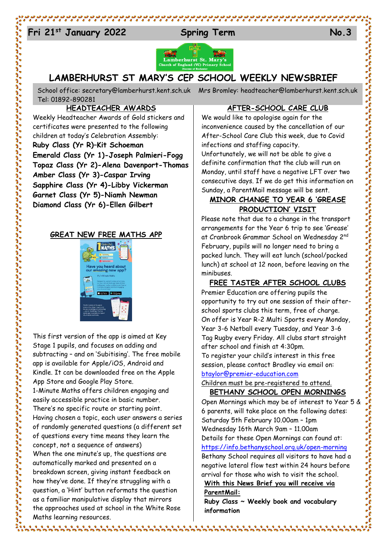# 24 **Fri 21st January 2022 Spring Term No.3**





# **LAMBERHURST ST MARY'S CEP SCHOOL WEEKLY NEWSBRIEF**

School office: [secretary@lamberhurst.kent.sch.uk](mailto:secretary@lamberhurst.kent.sch.uk) Mrs Bromley: headteacher@lamberhurst.kent.sch.uk Tel: 01892-890281

## **HEADTEACHER AWARDS**

Weekly Headteacher Awards of Gold stickers and certificates were presented to the following children at today's Celebration Assembly: **Ruby Class (Yr R)–Kit Schoeman Emerald Class (Yr 1)-Joseph Palmieri-Fogg Topaz Class (Yr 2)-Alena Davenport-Thomas Amber Class (Yr 3)-Caspar Irving Sapphire Class (Yr 4)-Libby Vickerman Garnet Class (Yr 5)-Niamh Newman Diamond Class (Yr 6)-Ellen Gilbert**

### **GREAT NEW FREE MATHS APP**



This first version of the app is aimed at Key Stage 1 pupils, and focuses on adding and subtracting – and on 'Subitising'. The free mobile app is available for Apple/iOS, Android and Kindle. It can be downloaded free on the Apple App Store and Google Play Store. 1-Minute Maths offers children engaging and easily accessible practice in basic number. There's no specific route or starting point. Having chosen a topic, each user answers a series of randomly generated questions (a different set of questions every time means they learn the concept, not a sequence of answers)

When the one minute's up, the questions are automatically marked and presented on a breakdown screen, giving instant feedback on how they've done. If they're struggling with a question, a 'Hint' button reformats the question as a familiar manipulative display that mirrors the approaches used at school in the White Rose Maths learning resources.

#### **AFTER-SCHOOL CARE CLUB**

والأمال المالية والأرامية والأرامية والأرامية والأرامية والأرامية والأرامية والأرامية

We would like to apologise again for the inconvenience caused by the cancellation of our After-School Care Club this week, due to Covid infections and staffing capacity. Unfortunately, we will not be able to give a definite confirmation that the club will run on Monday, until staff have a negative LFT over two consecutive days. If we do get this information on Sunday, a ParentMail message will be sent.

# **MINOR CHANGE TO YEAR 6 'GREASE PRODUCTION' VISIT**

Please note that due to a change in the transport arrangements for the Year 6 trip to see 'Grease' at Cranbrook Grammar School on Wednesday 2nd February, pupils will no longer need to bring a packed lunch. They will eat lunch (school/packed lunch) at school at 12 noon, before leaving on the minibuses.

#### **FREE TASTER AFTER SCHOOL CLUBS**

Premier Education are offering pupils the opportunity to try out one session of their afterschool sports clubs this term, free of charge. On offer is Year R-2 Multi Sports every Monday, Year 3-6 Netball every Tuesday, and Year 3-6 Tag Rugby every Friday. All clubs start straight after school and finish at 4:30pm. To register your child's interest in this free session, please contact Bradley via email on:

#### [btaylor@premier-education.com](mailto:btaylor@premier-education.com)

Children must be pre-registered to attend. **BETHANY SCHOOL OPEN MORNINGS**

Open Mornings which may be of interest to Year 5 & 6 parents, will take place on the following dates: Saturday 5th February 10.00am – 1pm Wednesday 16th March 9am – 11.00am Details for these Open Mornings can found at: <https://info.bethanyschool.org.uk/open-morning> Bethany School requires all visitors to have had a negative lateral flow test within 24 hours before arrival for those who wish to visit the school. **With this News Brief you will receive via** 

**ParentMail:**

**Ruby Class ~ Weekly book and vocabulary information**